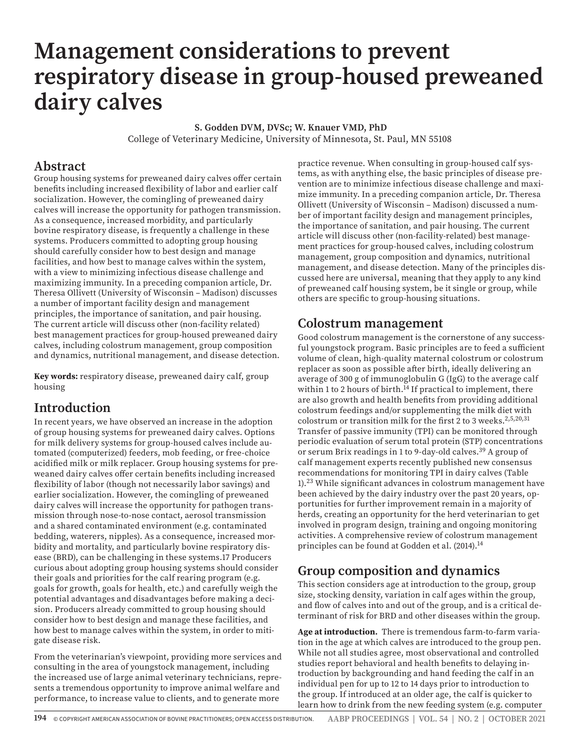# **Management considerations to prevent respiratory disease in group-housed preweaned dairy calves**

 **S. Godden DVM, DVSc; W. Knauer VMD, PhD** College of Veterinary Medicine, University of Minnesota, St. Paul, MN 55108

### **Abstract**

Group housing systems for preweaned dairy calves offer certain benefits including increased flexibility of labor and earlier calf socialization. However, the comingling of preweaned dairy calves will increase the opportunity for pathogen transmission. As a consequence, increased morbidity, and particularly bovine respiratory disease, is frequently a challenge in these systems. Producers committed to adopting group housing should carefully consider how to best design and manage facilities, and how best to manage calves within the system, with a view to minimizing infectious disease challenge and maximizing immunity. In a preceding companion article, Dr. Theresa Ollivett (University of Wisconsin – Madison) discusses a number of important facility design and management principles, the importance of sanitation, and pair housing. The current article will discuss other (non-facility related) best management practices for group-housed preweaned dairy calves, including colostrum management, group composition and dynamics, nutritional management, and disease detection.

**Key words:** respiratory disease, preweaned dairy calf, group housing

## **Introduction**

In recent years, we have observed an increase in the adoption of group housing systems for preweaned dairy calves. Options for milk delivery systems for group-housed calves include automated (computerized) feeders, mob feeding, or free-choice acidified milk or milk replacer. Group housing systems for preweaned dairy calves offer certain benefits including increased flexibility of labor (though not necessarily labor savings) and earlier socialization. However, the comingling of preweaned dairy calves will increase the opportunity for pathogen transmission through nose-to-nose contact, aerosol transmission and a shared contaminated environment (e.g. contaminated bedding, waterers, nipples). As a consequence, increased morbidity and mortality, and particularly bovine respiratory disease (BRD), can be challenging in these systems.17 Producers curious about adopting group housing systems should consider their goals and priorities for the calf rearing program (e.g. goals for growth, goals for health, etc.) and carefully weigh the potential advantages and disadvantages before making a decision. Producers already committed to group housing should consider how to best design and manage these facilities, and how best to manage calves within the system, in order to mitigate disease risk.

From the veterinarian's viewpoint, providing more services and consulting in the area of youngstock management, including the increased use of large animal veterinary technicians, represents a tremendous opportunity to improve animal welfare and performance, to increase value to clients, and to generate more

practice revenue. When consulting in group-housed calf systems, as with anything else, the basic principles of disease prevention are to minimize infectious disease challenge and maximize immunity. In a preceding companion article, Dr. Theresa Ollivett (University of Wisconsin – Madison) discussed a number of important facility design and management principles, the importance of sanitation, and pair housing. The current article will discuss other (non-facility-related) best management practices for group-housed calves, including colostrum management, group composition and dynamics, nutritional management, and disease detection. Many of the principles discussed here are universal, meaning that they apply to any kind of preweaned calf housing system, be it single or group, while others are specific to group-housing situations.

## **Colostrum management**

Good colostrum management is the cornerstone of any successful youngstock program. Basic principles are to feed a sufficient volume of clean, high-quality maternal colostrum or colostrum replacer as soon as possible after birth, ideally delivering an average of 300 g of immunoglobulin G (IgG) to the average calf within 1 to 2 hours of birth.<sup>14</sup> If practical to implement, there are also growth and health benefits from providing additional colostrum feedings and/or supplementing the milk diet with colostrum or transition milk for the first 2 to 3 weeks.<sup>2,5,20,31</sup> Transfer of passive immunity (TPI) can be monitored through periodic evaluation of serum total protein (STP) concentrations or serum Brix readings in 1 to 9-day-old calves.39 A group of calf management experts recently published new consensus recommendations for monitoring TPI in dairy calves (Table 1).23 While significant advances in colostrum management have been achieved by the dairy industry over the past 20 years, opportunities for further improvement remain in a majority of herds, creating an opportunity for the herd veterinarian to get involved in program design, training and ongoing monitoring activities. A comprehensive review of colostrum management principles can be found at Godden et al. (2014).<sup>14</sup>

# **Group composition and dynamics**

This section considers age at introduction to the group, group size, stocking density, variation in calf ages within the group, and flow of calves into and out of the group, and is a critical determinant of risk for BRD and other diseases within the group.

**Age at introduction.** There is tremendous farm-to-farm variation in the age at which calves are introduced to the group pen. While not all studies agree, most observational and controlled studies report behavioral and health benefits to delaying introduction by backgrounding and hand feeding the calf in an individual pen for up to 12 to 14 days prior to introduction to the group. If introduced at an older age, the calf is quicker to learn how to drink from the new feeding system (e.g. computer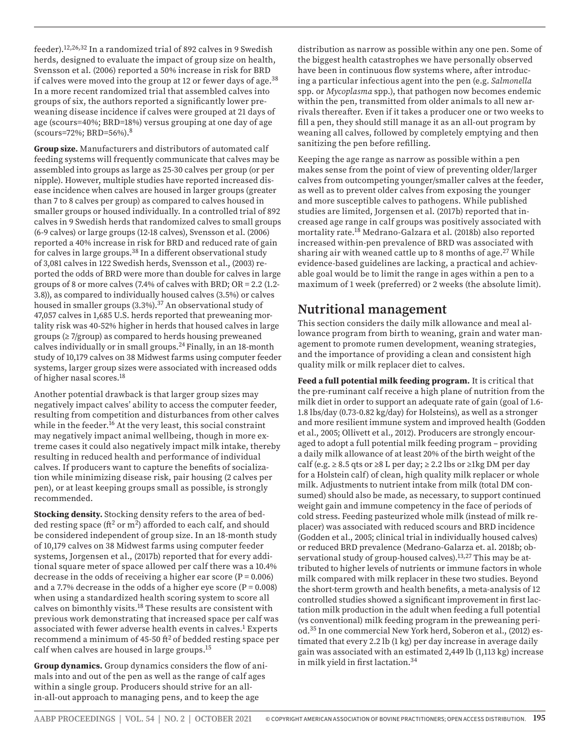feeder).12,26,32 In a randomized trial of 892 calves in 9 Swedish herds, designed to evaluate the impact of group size on health, Svensson et al. (2006) reported a 50% increase in risk for BRD if calves were moved into the group at 12 or fewer days of age.<sup>38</sup> In a more recent randomized trial that assembled calves into groups of six, the authors reported a significantly lower preweaning disease incidence if calves were grouped at 21 days of age (scours=40%; BRD=18%) versus grouping at one day of age (scours=72%; BRD=56%).8

**Group size.** Manufacturers and distributors of automated calf feeding systems will frequently communicate that calves may be assembled into groups as large as 25-30 calves per group (or per nipple). However, multiple studies have reported increased disease incidence when calves are housed in larger groups (greater than 7 to 8 calves per group) as compared to calves housed in smaller groups or housed individually. In a controlled trial of 892 calves in 9 Swedish herds that randomized calves to small groups (6-9 calves) or large groups (12-18 calves), Svensson et al. (2006) reported a 40% increase in risk for BRD and reduced rate of gain for calves in large groups.38 In a different observational study of 3,081 calves in 122 Swedish herds, Svensson et al., (2003) reported the odds of BRD were more than double for calves in large groups of 8 or more calves  $(7.4\%$  of calves with BRD; OR = 2.2  $(1.2-$ 3.8)), as compared to individually housed calves (3.5%) or calves housed in smaller groups (3.3%).<sup>37</sup> An observational study of 47,057 calves in 1,685 U.S. herds reported that preweaning mortality risk was 40-52% higher in herds that housed calves in large groups (≥ 7/group) as compared to herds housing preweaned calves individually or in small groups.24 Finally, in an 18-month study of 10,179 calves on 38 Midwest farms using computer feeder systems, larger group sizes were associated with increased odds of higher nasal scores.18

Another potential drawback is that larger group sizes may negatively impact calves' ability to access the computer feeder, resulting from competition and disturbances from other calves while in the feeder.<sup>16</sup> At the very least, this social constraint may negatively impact animal wellbeing, though in more extreme cases it could also negatively impact milk intake, thereby resulting in reduced health and performance of individual calves. If producers want to capture the benefits of socialization while minimizing disease risk, pair housing (2 calves per pen), or at least keeping groups small as possible, is strongly recommended.

**Stocking density.** Stocking density refers to the area of bedded resting space ( $\text{ft}^2$  or m<sup>2</sup>) afforded to each calf, and should be considered independent of group size. In an 18-month study of 10,179 calves on 38 Midwest farms using computer feeder systems, Jorgensen et al., (2017b) reported that for every additional square meter of space allowed per calf there was a 10.4% decrease in the odds of receiving a higher ear score  $(P = 0.006)$ and a 7.7% decrease in the odds of a higher eye score ( $P = 0.008$ ) when using a standardized health scoring system to score all calves on bimonthly visits.18 These results are consistent with previous work demonstrating that increased space per calf was associated with fewer adverse health events in calves.<sup>1</sup> Experts recommend a minimum of  $45-50$  ft<sup>2</sup> of bedded resting space per calf when calves are housed in large groups.15

**Group dynamics.** Group dynamics considers the flow of animals into and out of the pen as well as the range of calf ages within a single group. Producers should strive for an allin-all-out approach to managing pens, and to keep the age

distribution as narrow as possible within any one pen. Some of the biggest health catastrophes we have personally observed have been in continuous flow systems where, after introducing a particular infectious agent into the pen (e.g. *Salmonella*  spp. or *Mycoplasma* spp.), that pathogen now becomes endemic within the pen, transmitted from older animals to all new arrivals thereafter. Even if it takes a producer one or two weeks to fill a pen, they should still manage it as an all-out program by weaning all calves, followed by completely emptying and then sanitizing the pen before refilling.

Keeping the age range as narrow as possible within a pen makes sense from the point of view of preventing older/larger calves from outcompeting younger/smaller calves at the feeder, as well as to prevent older calves from exposing the younger and more susceptible calves to pathogens. While published studies are limited, Jorgensen et al. (2017b) reported that increased age range in calf groups was positively associated with mortality rate.18 Medrano-Galzara et al. (2018b) also reported increased within-pen prevalence of BRD was associated with sharing air with weaned cattle up to 8 months of age.<sup>27</sup> While evidence-based guidelines are lacking, a practical and achievable goal would be to limit the range in ages within a pen to a maximum of 1 week (preferred) or 2 weeks (the absolute limit).

## **Nutritional management**

This section considers the daily milk allowance and meal allowance program from birth to weaning, grain and water management to promote rumen development, weaning strategies, and the importance of providing a clean and consistent high quality milk or milk replacer diet to calves.

**Feed a full potential milk feeding program.** It is critical that the pre-ruminant calf receive a high plane of nutrition from the milk diet in order to support an adequate rate of gain (goal of 1.6- 1.8 lbs/day (0.73-0.82 kg/day) for Holsteins), as well as a stronger and more resilient immune system and improved health (Godden et al., 2005; Ollivett et al., 2012). Producers are strongly encouraged to adopt a full potential milk feeding program – providing a daily milk allowance of at least 20% of the birth weight of the calf (e.g.  $\geq$  8.5 qts or  $\geq$ 8 L per day;  $\geq$  2.2 lbs or  $\geq$ 1kg DM per day for a Holstein calf) of clean, high quality milk replacer or whole milk. Adjustments to nutrient intake from milk (total DM consumed) should also be made, as necessary, to support continued weight gain and immune competency in the face of periods of cold stress. Feeding pasteurized whole milk (instead of milk replacer) was associated with reduced scours and BRD incidence (Godden et al., 2005; clinical trial in individually housed calves) or reduced BRD prevalence (Medrano-Galarza et. al. 2018b; observational study of group-housed calves).13,27 This may be attributed to higher levels of nutrients or immune factors in whole milk compared with milk replacer in these two studies. Beyond the short-term growth and health benefits, a meta-analysis of 12 controlled studies showed a significant improvement in first lactation milk production in the adult when feeding a full potential (vs conventional) milk feeding program in the preweaning period.35 In one commercial New York herd, Soberon et al., (2012) estimated that every 2.2 lb (1 kg) per day increase in average daily gain was associated with an estimated 2,449 lb (1,113 kg) increase in milk yield in first lactation.34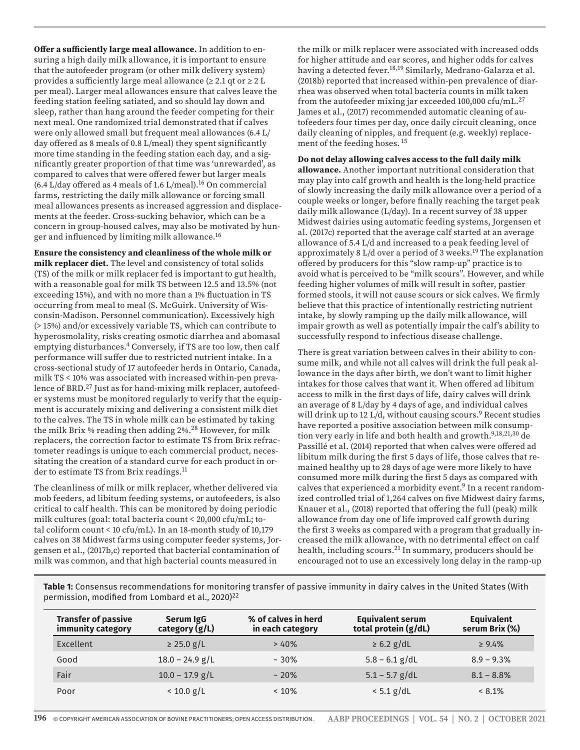**Offer a sufficiently large meal allowance.** In addition to ensuring a high daily milk allowance, it is important to ensure that the autofeeder program (or other milk delivery system) provides a sufficiently large meal allowance ( $\geq 2.1$  qt or  $\geq 2$  L per meal). Larger meal allowances ensure that calves leave the feeding station feeling satiated, and so should lay down and sleep, rather than hang around the feeder competing for their next meal. One randomized trial demonstrated that if calves were only allowed small but frequent meal allowances (6.4 L/ day offered as 8 meals of 0.8 L/meal) they spent significantly more time standing in the feeding station each day, and a significantly greater proportion of that time was 'unrewarded', as compared to calves that were offered fewer but larger meals  $(6.4$  L/day offered as 4 meals of 1.6 L/meal).<sup>16</sup> On commercial farms, restricting the daily milk allowance or forcing small meal allowances presents as increased aggression and displacements at the feeder. Cross-sucking behavior, which can be a concern in group-housed calves, may also be motivated by hunger and influenced by limiting milk allowance.16

**Ensure the consistency and cleanliness of the whole milk or milk replacer diet.** The level and consistency of total solids (TS) of the milk or milk replacer fed is important to gut health, with a reasonable goal for milk TS between 12.5 and 13.5% (not exceeding 15%), and with no more than a 1% fluctuation in TS occurring from meal to meal (S. McGuirk. University of Wisconsin-Madison. Personnel communication). Excessively high (> 15%) and/or excessively variable TS, which can contribute to hyperosmolality, risks creating osmotic diarrhea and abomasal emptying disturbances.4 Conversely, if TS are too low, then calf performance will suffer due to restricted nutrient intake. In a cross-sectional study of 17 autofeeder herds in Ontario, Canada, milk TS < 10% was associated with increased within-pen prevalence of BRD.27 Just as for hand-mixing milk replacer, autofeeder systems must be monitored regularly to verify that the equipment is accurately mixing and delivering a consistent milk diet to the calves. The TS in whole milk can be estimated by taking the milk Brix % reading then adding 2%.28 However, for milk replacers, the correction factor to estimate TS from Brix refractometer readings is unique to each commercial product, necessitating the creation of a standard curve for each product in order to estimate TS from Brix readings.<sup>11</sup>

The cleanliness of milk or milk replacer, whether delivered via mob feeders, ad libitum feeding systems, or autofeeders, is also critical to calf health. This can be monitored by doing periodic milk cultures (goal: total bacteria count < 20,000 cfu/mL; total coliform count < 10 cfu/mL). In an 18-month study of 10,179 calves on 38 Midwest farms using computer feeder systems, Jorgensen et al., (2017b,c) reported that bacterial contamination of milk was common, and that high bacterial counts measured in

the milk or milk replacer were associated with increased odds for higher attitude and ear scores, and higher odds for calves having a detected fever.<sup>18,19</sup> Similarly, Medrano-Galarza et al. (2018b) reported that increased within-pen prevalence of diarrhea was observed when total bacteria counts in milk taken from the autofeeder mixing jar exceeded 100,000 cfu/mL.<sup>27</sup> James et al., (2017) recommended automatic cleaning of autofeeders four times per day, once daily circuit cleaning, once daily cleaning of nipples, and frequent (e.g. weekly) replacement of the feeding hoses. 15

**Do not delay allowing calves access to the full daily milk** 

**allowance.** Another important nutritional consideration that may play into calf growth and health is the long-held practice of slowly increasing the daily milk allowance over a period of a couple weeks or longer, before finally reaching the target peak daily milk allowance (L/day). In a recent survey of 38 upper Midwest dairies using automatic feeding systems, Jorgensen et al. (2017c) reported that the average calf started at an average allowance of 5.4 L/d and increased to a peak feeding level of approximately 8 L/d over a period of 3 weeks.<sup>19</sup> The explanation offered by producers for this "slow ramp-up" practice is to avoid what is perceived to be "milk scours". However, and while feeding higher volumes of milk will result in softer, pastier formed stools, it will not cause scours or sick calves. We firmly believe that this practice of intentionally restricting nutrient intake, by slowly ramping up the daily milk allowance, will impair growth as well as potentially impair the calf's ability to successfully respond to infectious disease challenge.

There is great variation between calves in their ability to consume milk, and while not all calves will drink the full peak allowance in the days after birth, we don't want to limit higher intakes for those calves that want it. When offered ad libitum access to milk in the first days of life, dairy calves will drink an average of 8 L/day by 4 days of age, and individual calves will drink up to 12 L/d, without causing scours.<sup>9</sup> Recent studies have reported a positive association between milk consumption very early in life and both health and growth.<sup>9,18,21,30</sup> de Passillé et al. (2014) reported that when calves were offered ad libitum milk during the first 5 days of life, those calves that remained healthy up to 28 days of age were more likely to have consumed more milk during the first 5 days as compared with calves that experienced a morbidity event.<sup>9</sup> In a recent randomized controlled trial of 1,264 calves on five Midwest dairy farms, Knauer et al., (2018) reported that offering the full (peak) milk allowance from day one of life improved calf growth during the first 3 weeks as compared with a program that gradually increased the milk allowance, with no detrimental effect on calf health, including scours.<sup>21</sup> In summary, producers should be encouraged not to use an excessively long delay in the ramp-up

**Table 1:** Consensus recommendations for monitoring transfer of passive immunity in dairy calves in the United States (With permission, modified from Lombard et al., 2020)<sup>22</sup>

| <b>Transfer of passive</b><br>immunity category | Serum IgG<br>category $(g/L)$ | % of calves in herd<br>in each category | <b>Equivalent serum</b><br>total protein (g/dL) | <b>Equivalent</b><br>serum Brix (%) |
|-------------------------------------------------|-------------------------------|-----------------------------------------|-------------------------------------------------|-------------------------------------|
| Excellent                                       | $\geq$ 25.0 g/L               | >40%                                    | $\geq 6.2$ g/dL                                 | $\geq 9.4\%$                        |
| Good                                            | $18.0 - 24.9$ g/L             | $~10\%$                                 | $5.8 - 6.1$ g/dL                                | $8.9 - 9.3%$                        |
| Fair                                            | $10.0 - 17.9$ g/L             | $~20\%$                                 | $5.1 - 5.7$ g/dL                                | $8.1 - 8.8\%$                       |
| Poor                                            | $< 10.0$ g/L                  | $< 10\%$                                | $< 5.1$ g/dL                                    | $< 8.1\%$                           |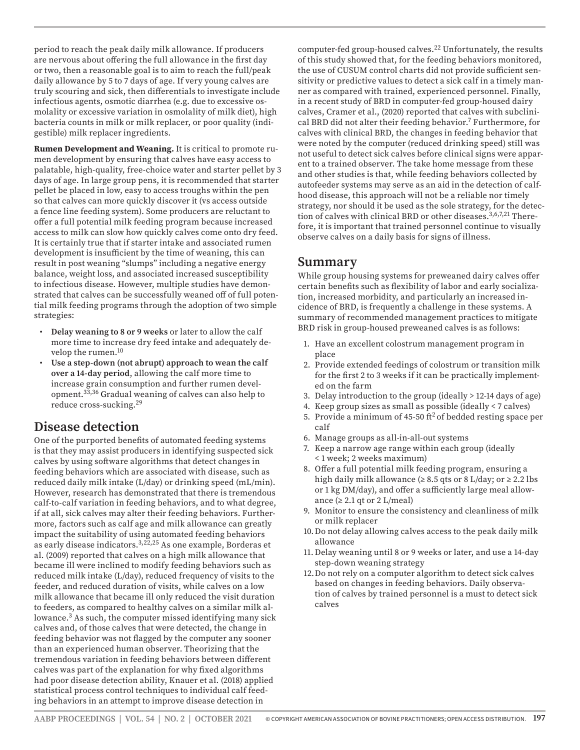period to reach the peak daily milk allowance. If producers are nervous about offering the full allowance in the first day or two, then a reasonable goal is to aim to reach the full/peak daily allowance by 5 to 7 days of age. If very young calves are truly scouring and sick, then differentials to investigate include infectious agents, osmotic diarrhea (e.g. due to excessive osmolality or excessive variation in osmolality of milk diet), high bacteria counts in milk or milk replacer, or poor quality (indigestible) milk replacer ingredients.

**Rumen Development and Weaning.** It is critical to promote rumen development by ensuring that calves have easy access to palatable, high-quality, free-choice water and starter pellet by 3 days of age. In large group pens, it is recommended that starter pellet be placed in low, easy to access troughs within the pen so that calves can more quickly discover it (vs access outside a fence line feeding system). Some producers are reluctant to offer a full potential milk feeding program because increased access to milk can slow how quickly calves come onto dry feed. It is certainly true that if starter intake and associated rumen development is insufficient by the time of weaning, this can result in post weaning "slumps" including a negative energy balance, weight loss, and associated increased susceptibility to infectious disease. However, multiple studies have demonstrated that calves can be successfully weaned off of full potential milk feeding programs through the adoption of two simple strategies:

- **Delay weaning to 8 or 9 weeks** or later to allow the calf more time to increase dry feed intake and adequately develop the rumen.10
- **Use a step-down (not abrupt) approach to wean the calf over a 14-day period**, allowing the calf more time to increase grain consumption and further rumen development. 33,36 Gradual weaning of calves can also help to reduce cross-sucking.29

## **Disease detection**

One of the purported benefits of automated feeding systems is that they may assist producers in identifying suspected sick calves by using software algorithms that detect changes in feeding behaviors which are associated with disease, such as reduced daily milk intake (L/day) or drinking speed (mL/min). However, research has demonstrated that there is tremendous calf-to-calf variation in feeding behaviors, and to what degree, if at all, sick calves may alter their feeding behaviors. Furthermore, factors such as calf age and milk allowance can greatly impact the suitability of using automated feeding behaviors as early disease indicators.3,22,25 As one example, Borderas et al. (2009) reported that calves on a high milk allowance that became ill were inclined to modify feeding behaviors such as reduced milk intake (L/day), reduced frequency of visits to the feeder, and reduced duration of visits, while calves on a low milk allowance that became ill only reduced the visit duration to feeders, as compared to healthy calves on a similar milk allowance.3 As such, the computer missed identifying many sick calves and, of those calves that were detected, the change in feeding behavior was not flagged by the computer any sooner than an experienced human observer. Theorizing that the tremendous variation in feeding behaviors between different calves was part of the explanation for why fixed algorithms had poor disease detection ability, Knauer et al. (2018) applied statistical process control techniques to individual calf feeding behaviors in an attempt to improve disease detection in

computer-fed group-housed calves.22 Unfortunately, the results of this study showed that, for the feeding behaviors monitored, the use of CUSUM control charts did not provide sufficient sensitivity or predictive values to detect a sick calf in a timely manner as compared with trained, experienced personnel. Finally, in a recent study of BRD in computer-fed group-housed dairy calves, Cramer et al., (2020) reported that calves with subclinical BRD did not alter their feeding behavior.7 Furthermore, for calves with clinical BRD, the changes in feeding behavior that were noted by the computer (reduced drinking speed) still was not useful to detect sick calves before clinical signs were apparent to a trained observer. The take home message from these and other studies is that, while feeding behaviors collected by autofeeder systems may serve as an aid in the detection of calfhood disease, this approach will not be a reliable nor timely strategy, nor should it be used as the sole strategy, for the detection of calves with clinical BRD or other diseases.3,6,7,21 Therefore, it is important that trained personnel continue to visually observe calves on a daily basis for signs of illness.

## **Summary**

While group housing systems for preweaned dairy calves offer certain benefits such as flexibility of labor and early socialization, increased morbidity, and particularly an increased incidence of BRD, is frequently a challenge in these systems. A summary of recommended management practices to mitigate BRD risk in group-housed preweaned calves is as follows:

- 1. Have an excellent colostrum management program in place
- 2. Provide extended feedings of colostrum or transition milk for the first 2 to 3 weeks if it can be practically implemented on the farm
- 3. Delay introduction to the group (ideally > 12-14 days of age)
- 4. Keep group sizes as small as possible (ideally < 7 calves)
- 5. Provide a minimum of 45-50  $ft^2$  of bedded resting space per calf
- 6. Manage groups as all-in-all-out systems
- 7. Keep a narrow age range within each group (ideally < 1 week; 2 weeks maximum)
- 8. Offer a full potential milk feeding program, ensuring a high daily milk allowance ( $\geq 8.5$  qts or 8 L/day; or  $\geq 2.2$  lbs or 1 kg DM/day), and offer a sufficiently large meal allowance  $(≥ 2.1$  qt or 2 L/meal)
- 9. Monitor to ensure the consistency and cleanliness of milk or milk replacer
- 10.Do not delay allowing calves access to the peak daily milk allowance
- 11. Delay weaning until 8 or 9 weeks or later, and use a 14-day step-down weaning strategy
- 12.Do not rely on a computer algorithm to detect sick calves based on changes in feeding behaviors. Daily observation of calves by trained personnel is a must to detect sick calves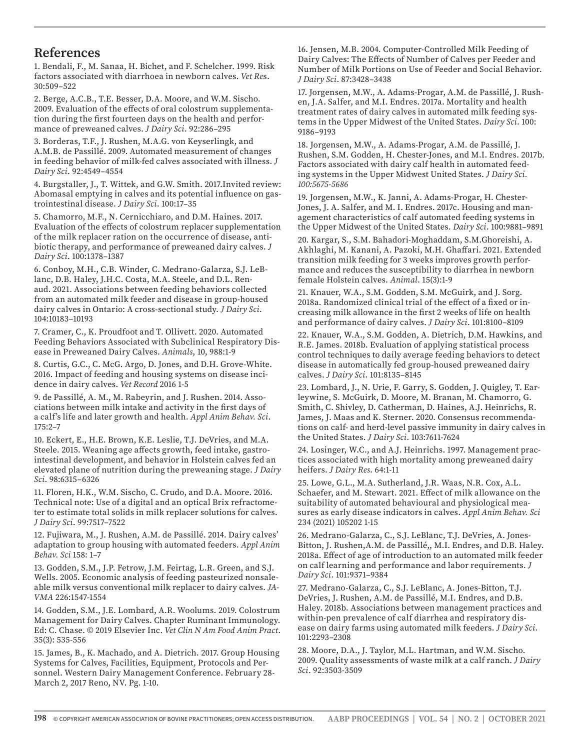#### **References**

1. Bendali, F., M. Sanaa, H. Bichet, and F. Schelcher. 1999. Risk factors associated with diarrhoea in newborn calves. *Vet Re*s. 30:509–522

2. Berge, A.C.B., T.E. Besser, D.A. Moore, and W.M. Sischo. 2009. Evaluation of the effects of oral colostrum supplementation during the first fourteen days on the health and performance of preweaned calves. *J Dairy Sci*. 92:286–295

3. Borderas, T.F., J. Rushen, M.A.G. von Keyserlingk, and A.M.B. de Passillé. 2009. Automated measurement of changes in feeding behavior of milk-fed calves associated with illness. *J Dairy Sci*. 92:4549–4554

4. Burgstaller, J., T. Wittek, and G.W. Smith. 2017.Invited review: Abomasal emptying in calves and its potential influence on gastrointestinal disease. *J Dairy Sci*. 100:17–35

5. Chamorro, M.F., N. Cernicchiaro, and D.M. Haines. 2017. Evaluation of the effects of colostrum replacer supplementation of the milk replacer ration on the occurrence of disease, antibiotic therapy, and performance of preweaned dairy calves. *J Dairy Sci*. 100:1378–1387

6. Conboy, M.H., C.B. Winder, C. Medrano-Galarza, S.J. LeBlanc, D.B. Haley, J.H.C. Costa, M.A. Steele, and D.L. Renaud. 2021. Associations between feeding behaviors collected from an automated milk feeder and disease in group-housed dairy calves in Ontario: A cross-sectional study. *J Dairy Sci*. 104:10183–10193

7. Cramer, C., K. Proudfoot and T. Ollivett. 2020. Automated Feeding Behaviors Associated with Subclinical Respiratory Disease in Preweaned Dairy Calves. *Animals*, 10, 988:1-9

8. Curtis, G.C., C. McG. Argo, D. Jones, and D.H. Grove-White. 2016. Impact of feeding and housing systems on disease incidence in dairy calves. *Vet Record* 2016 1-5

9. de Passillé, A. M., M. Rabeyrin, and J. Rushen. 2014. Associations between milk intake and activity in the first days of a calf's life and later growth and health. *Appl Anim Behav. Sci*. 175:2–7

10. Eckert, E., H.E. Brown, K.E. Leslie, T.J. DeVries, and M.A. Steele. 2015. Weaning age affects growth, feed intake, gastrointestinal development, and behavior in Holstein calves fed an elevated plane of nutrition during the preweaning stage. *J Dairy Sci*. 98:6315–6326

11. Floren, H.K., W.M. Sischo, C. Crudo, and D.A. Moore. 2016. Technical note: Use of a digital and an optical Brix refractometer to estimate total solids in milk replacer solutions for calves. *J Dairy Sci*. 99:7517–7522

12. Fujiwara, M., J. Rushen, A.M. de Passillé. 2014. Dairy calves' adaptation to group housing with automated feeders. *Appl Anim Behav. Sci* 158: 1–7

13. Godden, S.M., J.P. Fetrow, J.M. Feirtag, L.R. Green, and S.J. Wells. 2005. Economic analysis of feeding pasteurized nonsaleable milk versus conventional milk replacer to dairy calves. *JA-VMA* 226:1547-1554

14. Godden, S.M., J.E. Lombard, A.R. Woolums. 2019. Colostrum Management for Dairy Calves. Chapter Ruminant Immunology. Ed: C. Chase. © 2019 Elsevier Inc. *Vet Clin N Am Food Anim Pract*. 35(3): 535-556

15. James, B., K. Machado, and A. Dietrich. 2017. Group Housing Systems for Calves, Facilities, Equipment, Protocols and Personnel. Western Dairy Management Conference. February 28- March 2, 2017 Reno, NV. Pg. 1-10.

16. Jensen, M.B. 2004. Computer-Controlled Milk Feeding of Dairy Calves: The Effects of Number of Calves per Feeder and Number of Milk Portions on Use of Feeder and Social Behavior. *J Dairy Sci*. 87:3428–3438

17. Jorgensen, M.W., A. Adams-Progar, A.M. de Passillé, J. Rushen, J.A. Salfer, and M.I. Endres. 2017a. Mortality and health treatment rates of dairy calves in automated milk feeding systems in the Upper Midwest of the United States. *Dairy Sci*. 100: 9186–9193

18. Jorgensen, M.W., A. Adams-Progar, A.M. de Passillé, J. Rushen, S.M. Godden, H. Chester-Jones, and M.I. Endres. 2017b. Factors associated with dairy calf health in automated feeding systems in the Upper Midwest United States. *J Dairy Sci. 100:5675-5686*

19. Jorgensen, M.W., K. Janni, A. Adams-Progar, H. Chester-Jones, J. A. Salfer, and M. I. Endres. 2017c. Housing and management characteristics of calf automated feeding systems in the Upper Midwest of the United States. *Dairy Sci*. 100:9881–9891

20. Kargar, S., S.M. Bahadori-Moghaddam, S.M.Ghoreishi, A. Akhlaghi, M. Kanani, A. Pazoki, M.H. Ghaffari. 2021. Extended transition milk feeding for 3 weeks improves growth performance and reduces the susceptibility to diarrhea in newborn female Holstein calves. *Animal*. 15(3):1-9

21. Knauer, W.A., S.M. Godden, S.M. McGuirk, and J. Sorg. 2018a. Randomized clinical trial of the effect of a fixed or increasing milk allowance in the first 2 weeks of life on health and performance of dairy calves. *J Dairy Sci*. 101:8100–8109

22. Knauer, W.A., S.M. Godden, A. Dietrich, D.M. Hawkins, and R.E. James. 2018b. Evaluation of applying statistical process control techniques to daily average feeding behaviors to detect disease in automatically fed group-housed preweaned dairy calves. *J Dairy Sci*. 101:8135–8145

23. Lombard, J., N. Urie, F. Garry, S. Godden, J. Quigley, T. Earleywine, S. McGuirk, D. Moore, M. Branan, M. Chamorro, G. Smith, C. Shivley, D. Catherman, D. Haines, A.J. Heinrichs, R. James, J. Maas and K. Sterner. 2020. Consensus recommendations on calf- and herd-level passive immunity in dairy calves in the United States. *J Dairy Sci*. 103:7611-7624

24. Losinger, W.C., and A.J. Heinrichs. 1997. Management practices associated with high mortality among preweaned dairy heifers. *J Dairy Res*. 64:1-11

25. Lowe, G.L., M.A. Sutherland, J.R. Waas, N.R. Cox, A.L. Schaefer, and M. Stewart. 2021. Effect of milk allowance on the suitability of automated behavioural and physiological measures as early disease indicators in calves. *Appl Anim Behav. Sci* 234 (2021) 105202 1-15

26. Medrano-Galarza, C., S.J. LeBlanc, T.J. DeVries, A. Jones-Bitton, J. Rushen,A.M. de Passillé,, M.I. Endres, and D.B. Haley. 2018a. Effect of age of introduction to an automated milk feeder on calf learning and performance and labor requirements. *J Dairy Sci*. 101:9371–9384

27. Medrano-Galarza, C., S.J. LeBlanc, A. Jones-Bitton, T.J. DeVries, J. Rushen, A.M. de Passillé, M.I. Endres, and D.B. Haley. 2018b. Associations between management practices and within-pen prevalence of calf diarrhea and respiratory disease on dairy farms using automated milk feeders. *J Dairy Sci*. 101:2293–2308

28. Moore, D.A., J. Taylor, M.L. Hartman, and W.M. Sischo. 2009. Quality assessments of waste milk at a calf ranch. *J Dairy Sci*. 92:3503-3509